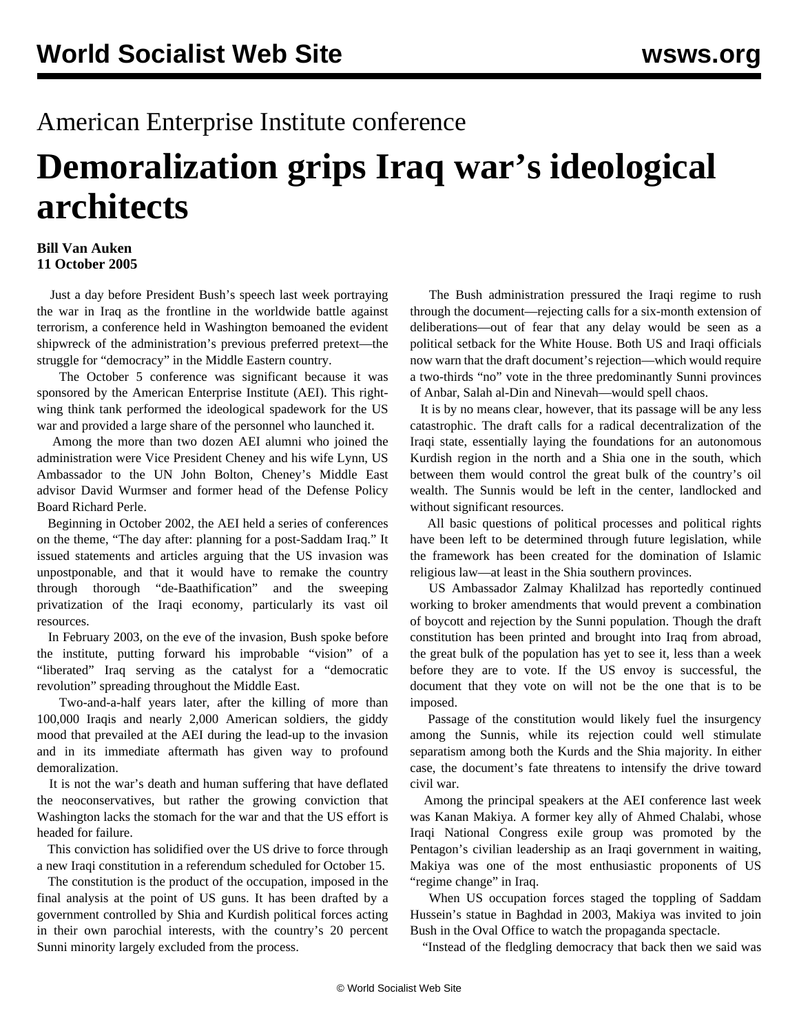## American Enterprise Institute conference

## **Demoralization grips Iraq war's ideological architects**

## **Bill Van Auken 11 October 2005**

 Just a day before President Bush's speech last week portraying the war in Iraq as the frontline in the worldwide battle against terrorism, a conference held in Washington bemoaned the evident shipwreck of the administration's previous preferred pretext—the struggle for "democracy" in the Middle Eastern country.

 The October 5 conference was significant because it was sponsored by the American Enterprise Institute (AEI). This rightwing think tank performed the ideological spadework for the US war and provided a large share of the personnel who launched it.

 Among the more than two dozen AEI alumni who joined the administration were Vice President Cheney and his wife Lynn, US Ambassador to the UN John Bolton, Cheney's Middle East advisor David Wurmser and former head of the Defense Policy Board Richard Perle.

 Beginning in October 2002, the AEI held a series of conferences on the theme, "The day after: planning for a post-Saddam Iraq." It issued statements and articles arguing that the US invasion was unpostponable, and that it would have to remake the country through thorough "de-Baathification" and the sweeping privatization of the Iraqi economy, particularly its vast oil resources.

 In February 2003, on the eve of the invasion, Bush spoke before the institute, putting forward his improbable "vision" of a "liberated" Iraq serving as the catalyst for a "democratic revolution" spreading throughout the Middle East.

 Two-and-a-half years later, after the killing of more than 100,000 Iraqis and nearly 2,000 American soldiers, the giddy mood that prevailed at the AEI during the lead-up to the invasion and in its immediate aftermath has given way to profound demoralization.

 It is not the war's death and human suffering that have deflated the neoconservatives, but rather the growing conviction that Washington lacks the stomach for the war and that the US effort is headed for failure.

 This conviction has solidified over the US drive to force through a new Iraqi constitution in a referendum scheduled for October 15.

 The constitution is the product of the occupation, imposed in the final analysis at the point of US guns. It has been drafted by a government controlled by Shia and Kurdish political forces acting in their own parochial interests, with the country's 20 percent Sunni minority largely excluded from the process.

 The Bush administration pressured the Iraqi regime to rush through the document—rejecting calls for a six-month extension of deliberations—out of fear that any delay would be seen as a political setback for the White House. Both US and Iraqi officials now warn that the draft document's rejection—which would require a two-thirds "no" vote in the three predominantly Sunni provinces of Anbar, Salah al-Din and Ninevah—would spell chaos.

 It is by no means clear, however, that its passage will be any less catastrophic. The draft calls for a radical decentralization of the Iraqi state, essentially laying the foundations for an autonomous Kurdish region in the north and a Shia one in the south, which between them would control the great bulk of the country's oil wealth. The Sunnis would be left in the center, landlocked and without significant resources.

 All basic questions of political processes and political rights have been left to be determined through future legislation, while the framework has been created for the domination of Islamic religious law—at least in the Shia southern provinces.

 US Ambassador Zalmay Khalilzad has reportedly continued working to broker amendments that would prevent a combination of boycott and rejection by the Sunni population. Though the draft constitution has been printed and brought into Iraq from abroad, the great bulk of the population has yet to see it, less than a week before they are to vote. If the US envoy is successful, the document that they vote on will not be the one that is to be imposed.

 Passage of the constitution would likely fuel the insurgency among the Sunnis, while its rejection could well stimulate separatism among both the Kurds and the Shia majority. In either case, the document's fate threatens to intensify the drive toward civil war.

 Among the principal speakers at the AEI conference last week was Kanan Makiya. A former key ally of Ahmed Chalabi, whose Iraqi National Congress exile group was promoted by the Pentagon's civilian leadership as an Iraqi government in waiting, Makiya was one of the most enthusiastic proponents of US "regime change" in Iraq.

 When US occupation forces staged the toppling of Saddam Hussein's statue in Baghdad in 2003, Makiya was invited to join Bush in the Oval Office to watch the propaganda spectacle.

"Instead of the fledgling democracy that back then we said was